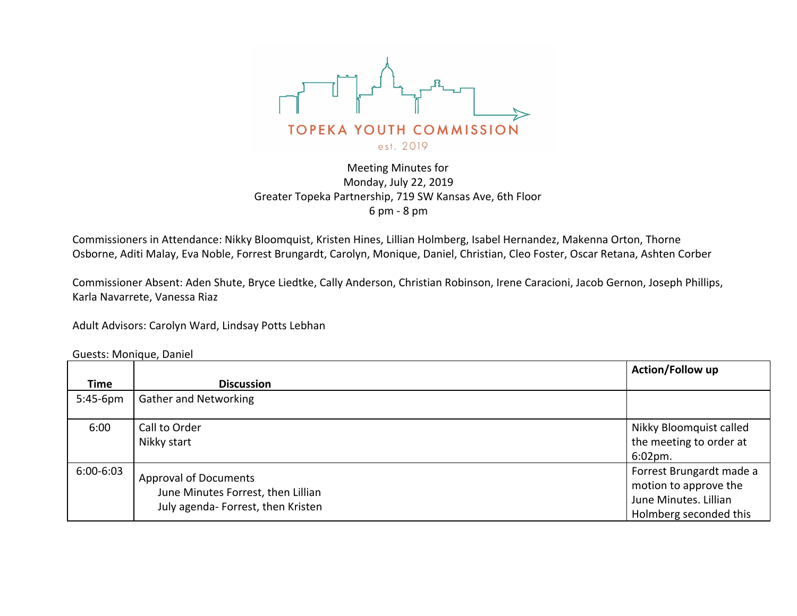

## Meeting Minutes for Monday, July 22, 2019 Greater Topeka Partnership, 719 SW Kansas Ave, 6th Floor 6 pm - 8 pm

Commissioners in Attendance: Nikky Bloomquist, Kristen Hines, Lillian Holmberg, Isabel Hernandez, Makenna Orton, Thorne Osborne, Aditi Malay, Eva Noble, Forrest Brungardt, Carolyn, Monique, Daniel, Christian, Cleo Foster, Oscar Retana, Ashten Corber

Commissioner Absent: Aden Shute, Bryce Liedtke, Cally Anderson, Christian Robinson, Irene Caracioni, Jacob Gernon, Joseph Phillips, Karla Navarrete, Vanessa Riaz

Adult Advisors: Carolyn Ward, Lindsay Potts Lebhan

Guests: Monique, Daniel

|               |                                                                                                          | Action/Follow up                                                                                     |
|---------------|----------------------------------------------------------------------------------------------------------|------------------------------------------------------------------------------------------------------|
| Time          | <b>Discussion</b>                                                                                        |                                                                                                      |
| $5:45-6$ pm   | Gather and Networking                                                                                    |                                                                                                      |
| 6:00          | Call to Order<br>Nikky start                                                                             | Nikky Bloomquist called<br>the meeting to order at<br>$6:02$ pm.                                     |
| $6:00 - 6:03$ | <b>Approval of Documents</b><br>June Minutes Forrest, then Lillian<br>July agenda- Forrest, then Kristen | Forrest Brungardt made a<br>motion to approve the<br>June Minutes. Lillian<br>Holmberg seconded this |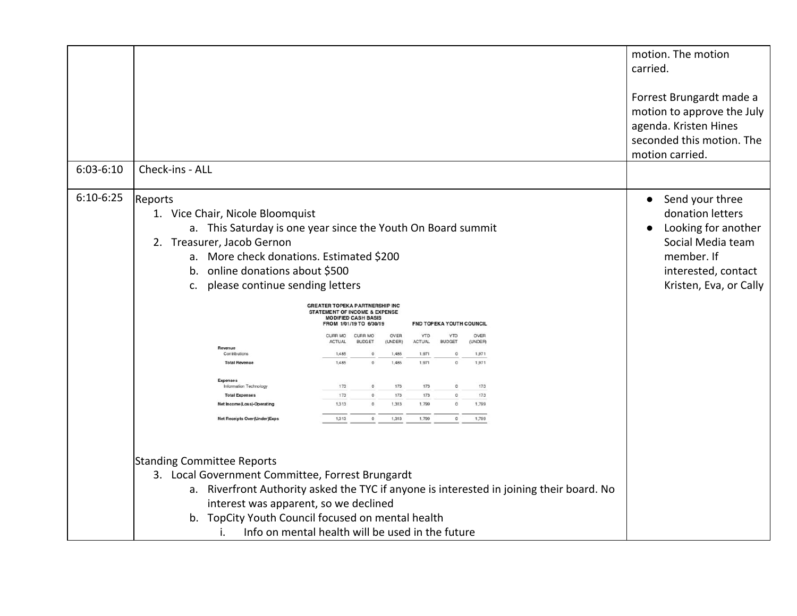|             |                                                                                                                                                                                                                                                                                                                                           | motion. The motion<br>carried.<br>Forrest Brungardt made a<br>motion to approve the July<br>agenda. Kristen Hines<br>seconded this motion. The              |
|-------------|-------------------------------------------------------------------------------------------------------------------------------------------------------------------------------------------------------------------------------------------------------------------------------------------------------------------------------------------|-------------------------------------------------------------------------------------------------------------------------------------------------------------|
|             |                                                                                                                                                                                                                                                                                                                                           | motion carried.                                                                                                                                             |
| $6:03-6:10$ | Check-ins - ALL                                                                                                                                                                                                                                                                                                                           |                                                                                                                                                             |
| $6:10-6:25$ | Reports<br>1. Vice Chair, Nicole Bloomquist<br>a. This Saturday is one year since the Youth On Board summit<br>2. Treasurer, Jacob Gernon<br>a. More check donations. Estimated \$200<br>b. online donations about \$500<br>please continue sending letters<br>c.<br><b>GREATER TOPEKA PARTNERSHIP INC</b>                                | Send your three<br>$\bullet$<br>donation letters<br>Looking for another<br>Social Media team<br>member. If<br>interested, contact<br>Kristen, Eva, or Cally |
|             | <b>STATEMENT OF INCOME &amp; EXPENSE</b><br><b>MODIFIED CASH BASIS</b><br>FROM 1/01/19 TO 6/30/19<br>FND TOPEKA YOUTH COUNCIL                                                                                                                                                                                                             |                                                                                                                                                             |
|             | CURR MO CURR MO<br>OVER<br><b>YTD</b><br><b>YTD</b><br>OVER<br>ACTUAL<br><b>BUDGET</b><br>(UNDER)<br><b>ACTUAL</b><br><b>BUDGET</b><br>(UNDER)                                                                                                                                                                                            |                                                                                                                                                             |
|             | Revenue<br>1,485<br>$\circ$<br>1,485<br>1,971<br>1,971<br>Contributions<br>$\Omega$                                                                                                                                                                                                                                                       |                                                                                                                                                             |
|             | 1,485<br>1,971<br>1,971<br>1,485<br>$\circ$<br><b>Total Revenue</b><br>$\circ$                                                                                                                                                                                                                                                            |                                                                                                                                                             |
|             | <b>Expenses</b>                                                                                                                                                                                                                                                                                                                           |                                                                                                                                                             |
|             | 173<br>173<br>173<br>173<br>$^{\circ}$<br>$\alpha$<br>Information Technology<br>173<br>173<br>173<br>173<br>$\circ$<br><b>Total Expenses</b><br>$^{\circ}$                                                                                                                                                                                |                                                                                                                                                             |
|             | 1,313<br>1,313<br>1,799<br>1,799<br>Net Income (Loss)-Operating                                                                                                                                                                                                                                                                           |                                                                                                                                                             |
|             | <b>Net Receipts Over(Under)Exps</b><br>1,313<br>$\circ$<br>1,313<br>1,799<br>1,799<br>$\circ$                                                                                                                                                                                                                                             |                                                                                                                                                             |
|             | <b>Standing Committee Reports</b><br>3. Local Government Committee, Forrest Brungardt<br>a. Riverfront Authority asked the TYC if anyone is interested in joining their board. No<br>interest was apparent, so we declined<br>b. TopCity Youth Council focused on mental health<br>Info on mental health will be used in the future<br>i. |                                                                                                                                                             |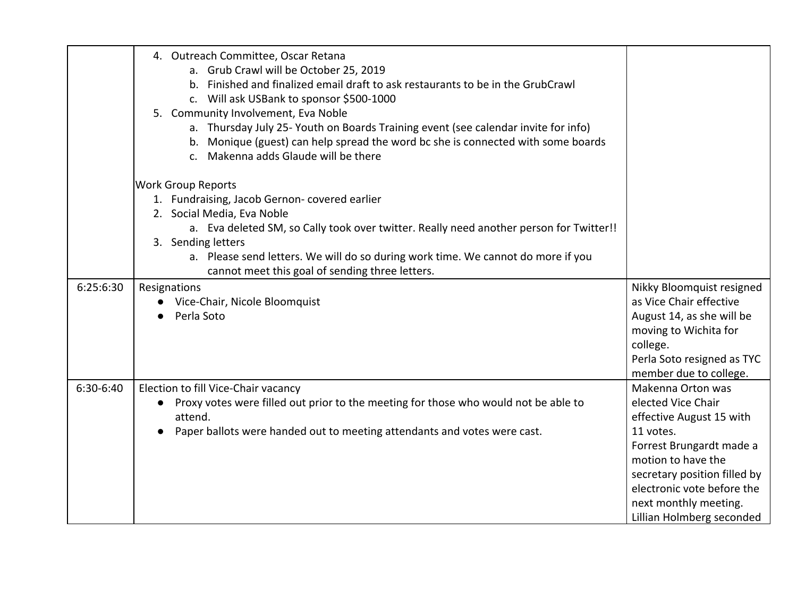|           | 4. Outreach Committee, Oscar Retana<br>a. Grub Crawl will be October 25, 2019<br>b. Finished and finalized email draft to ask restaurants to be in the GrubCrawl<br>c. Will ask USBank to sponsor \$500-1000<br>5. Community Involvement, Eva Noble<br>a. Thursday July 25- Youth on Boards Training event (see calendar invite for info)<br>b. Monique (guest) can help spread the word bc she is connected with some boards<br>c. Makenna adds Glaude will be there |                                       |
|-----------|-----------------------------------------------------------------------------------------------------------------------------------------------------------------------------------------------------------------------------------------------------------------------------------------------------------------------------------------------------------------------------------------------------------------------------------------------------------------------|---------------------------------------|
|           | <b>Work Group Reports</b>                                                                                                                                                                                                                                                                                                                                                                                                                                             |                                       |
|           | 1. Fundraising, Jacob Gernon- covered earlier                                                                                                                                                                                                                                                                                                                                                                                                                         |                                       |
|           | 2. Social Media, Eva Noble                                                                                                                                                                                                                                                                                                                                                                                                                                            |                                       |
|           | a. Eva deleted SM, so Cally took over twitter. Really need another person for Twitter!!<br>3. Sending letters                                                                                                                                                                                                                                                                                                                                                         |                                       |
|           | a. Please send letters. We will do so during work time. We cannot do more if you<br>cannot meet this goal of sending three letters.                                                                                                                                                                                                                                                                                                                                   |                                       |
| 6:25:6:30 | Resignations                                                                                                                                                                                                                                                                                                                                                                                                                                                          | Nikky Bloomquist resigned             |
|           | Vice-Chair, Nicole Bloomquist                                                                                                                                                                                                                                                                                                                                                                                                                                         | as Vice Chair effective               |
|           | Perla Soto                                                                                                                                                                                                                                                                                                                                                                                                                                                            | August 14, as she will be             |
|           |                                                                                                                                                                                                                                                                                                                                                                                                                                                                       | moving to Wichita for                 |
|           |                                                                                                                                                                                                                                                                                                                                                                                                                                                                       | college.                              |
|           |                                                                                                                                                                                                                                                                                                                                                                                                                                                                       | Perla Soto resigned as TYC            |
|           |                                                                                                                                                                                                                                                                                                                                                                                                                                                                       | member due to college.                |
| 6:30-6:40 | Election to fill Vice-Chair vacancy                                                                                                                                                                                                                                                                                                                                                                                                                                   | Makenna Orton was                     |
|           | Proxy votes were filled out prior to the meeting for those who would not be able to<br>attend.                                                                                                                                                                                                                                                                                                                                                                        | elected Vice Chair                    |
|           | Paper ballots were handed out to meeting attendants and votes were cast.                                                                                                                                                                                                                                                                                                                                                                                              | effective August 15 with<br>11 votes. |
|           |                                                                                                                                                                                                                                                                                                                                                                                                                                                                       | Forrest Brungardt made a              |
|           |                                                                                                                                                                                                                                                                                                                                                                                                                                                                       | motion to have the                    |
|           |                                                                                                                                                                                                                                                                                                                                                                                                                                                                       | secretary position filled by          |
|           |                                                                                                                                                                                                                                                                                                                                                                                                                                                                       | electronic vote before the            |
|           |                                                                                                                                                                                                                                                                                                                                                                                                                                                                       | next monthly meeting.                 |
|           |                                                                                                                                                                                                                                                                                                                                                                                                                                                                       | Lillian Holmberg seconded             |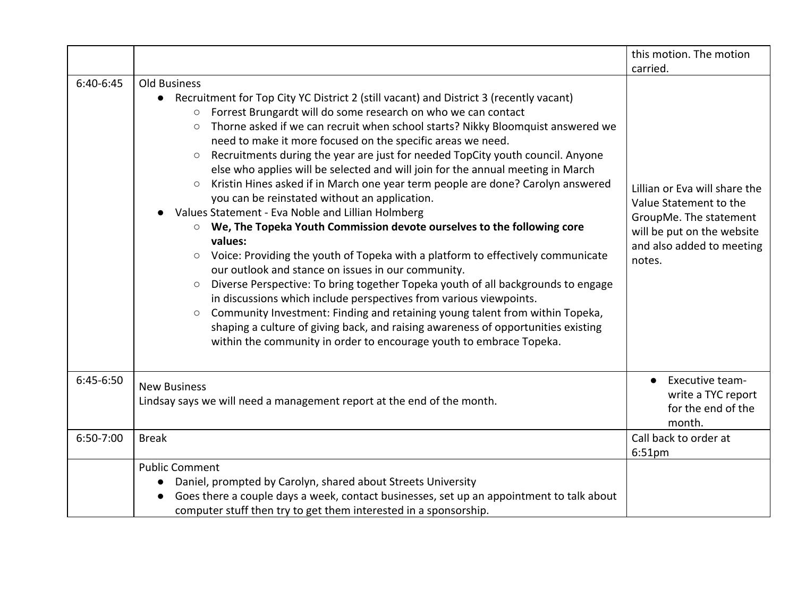|             |                                                                                                                                                                                                                                                                                                                                                                                                                                                                                                                                                                                                                                                                                                                                                                                                                                                                                                                                                                                                                                                                                                                                                                                                                                                                                                                                                                                                                                                         | this motion. The motion<br>carried.                                                                                                                    |
|-------------|---------------------------------------------------------------------------------------------------------------------------------------------------------------------------------------------------------------------------------------------------------------------------------------------------------------------------------------------------------------------------------------------------------------------------------------------------------------------------------------------------------------------------------------------------------------------------------------------------------------------------------------------------------------------------------------------------------------------------------------------------------------------------------------------------------------------------------------------------------------------------------------------------------------------------------------------------------------------------------------------------------------------------------------------------------------------------------------------------------------------------------------------------------------------------------------------------------------------------------------------------------------------------------------------------------------------------------------------------------------------------------------------------------------------------------------------------------|--------------------------------------------------------------------------------------------------------------------------------------------------------|
| $6:40-6:45$ | <b>Old Business</b><br>Recruitment for Top City YC District 2 (still vacant) and District 3 (recently vacant)<br>$\bullet$<br>Forrest Brungardt will do some research on who we can contact<br>$\circlearrowright$<br>Thorne asked if we can recruit when school starts? Nikky Bloomquist answered we<br>$\circ$<br>need to make it more focused on the specific areas we need.<br>Recruitments during the year are just for needed TopCity youth council. Anyone<br>$\circ$<br>else who applies will be selected and will join for the annual meeting in March<br>Kristin Hines asked if in March one year term people are done? Carolyn answered<br>$\circ$<br>you can be reinstated without an application.<br>Values Statement - Eva Noble and Lillian Holmberg<br>We, The Topeka Youth Commission devote ourselves to the following core<br>values:<br>Voice: Providing the youth of Topeka with a platform to effectively communicate<br>$\circ$<br>our outlook and stance on issues in our community.<br>Diverse Perspective: To bring together Topeka youth of all backgrounds to engage<br>$\circlearrowright$<br>in discussions which include perspectives from various viewpoints.<br>Community Investment: Finding and retaining young talent from within Topeka,<br>$\bigcirc$<br>shaping a culture of giving back, and raising awareness of opportunities existing<br>within the community in order to encourage youth to embrace Topeka. | Lillian or Eva will share the<br>Value Statement to the<br>GroupMe. The statement<br>will be put on the website<br>and also added to meeting<br>notes. |
| $6:45-6:50$ | <b>New Business</b><br>Lindsay says we will need a management report at the end of the month.                                                                                                                                                                                                                                                                                                                                                                                                                                                                                                                                                                                                                                                                                                                                                                                                                                                                                                                                                                                                                                                                                                                                                                                                                                                                                                                                                           | Executive team-<br>write a TYC report<br>for the end of the<br>month.                                                                                  |
| 6:50-7:00   | <b>Break</b>                                                                                                                                                                                                                                                                                                                                                                                                                                                                                                                                                                                                                                                                                                                                                                                                                                                                                                                                                                                                                                                                                                                                                                                                                                                                                                                                                                                                                                            | Call back to order at<br>6:51pm                                                                                                                        |
|             | <b>Public Comment</b><br>Daniel, prompted by Carolyn, shared about Streets University<br>Goes there a couple days a week, contact businesses, set up an appointment to talk about<br>computer stuff then try to get them interested in a sponsorship.                                                                                                                                                                                                                                                                                                                                                                                                                                                                                                                                                                                                                                                                                                                                                                                                                                                                                                                                                                                                                                                                                                                                                                                                   |                                                                                                                                                        |